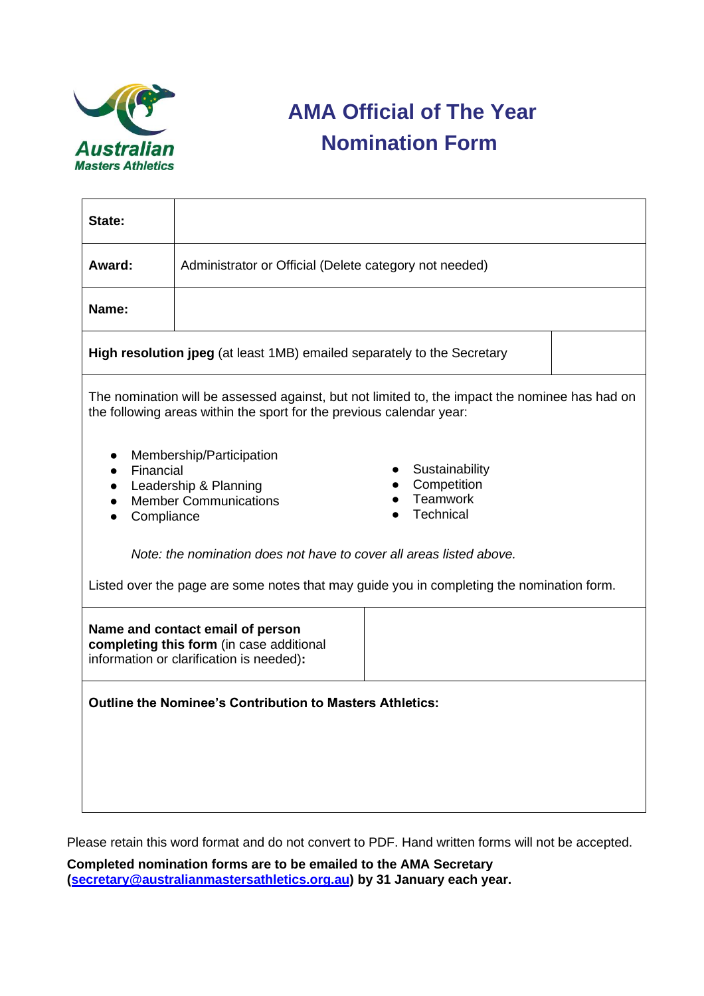

## **AMA Official of The Year Nomination Form**

| State:                                                                                                                                                                              |                                                        |  |  |
|-------------------------------------------------------------------------------------------------------------------------------------------------------------------------------------|--------------------------------------------------------|--|--|
| Award:                                                                                                                                                                              | Administrator or Official (Delete category not needed) |  |  |
| Name:                                                                                                                                                                               |                                                        |  |  |
| High resolution jpeg (at least 1MB) emailed separately to the Secretary                                                                                                             |                                                        |  |  |
| The nomination will be assessed against, but not limited to, the impact the nominee has had on<br>the following areas within the sport for the previous calendar year:              |                                                        |  |  |
| Membership/Participation<br>$\bullet$<br>Sustainability<br>Financial<br>Competition<br>Leadership & Planning<br>Teamwork<br><b>Member Communications</b><br>Technical<br>Compliance |                                                        |  |  |
| Note: the nomination does not have to cover all areas listed above.<br>Listed over the page are some notes that may guide you in completing the nomination form.                    |                                                        |  |  |
| Name and contact email of person<br>completing this form (in case additional<br>information or clarification is needed):                                                            |                                                        |  |  |
| <b>Outline the Nominee's Contribution to Masters Athletics:</b>                                                                                                                     |                                                        |  |  |
|                                                                                                                                                                                     |                                                        |  |  |
|                                                                                                                                                                                     |                                                        |  |  |

Please retain this word format and do not convert to PDF. Hand written forms will not be accepted.

**Completed nomination forms are to be emailed to the AMA Secretary [\(secretary@australianmastersathletics.org.au\)](mailto:secretary@australianmastersathletics.org.au) by 31 January each year.**